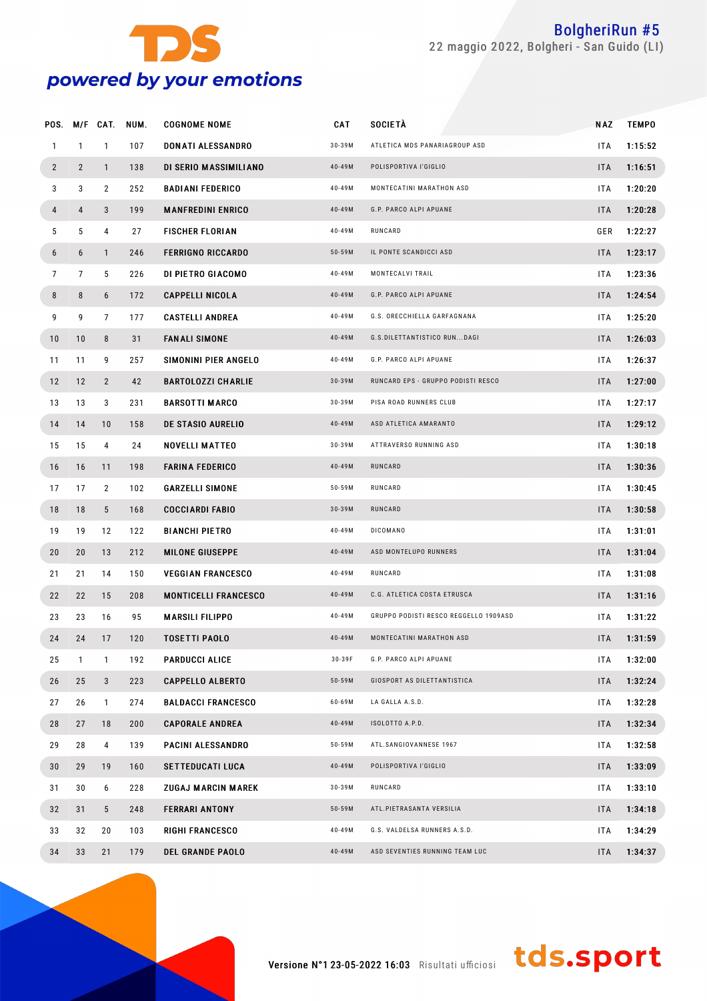

|                |                |                | POS. M/F CAT. NUM. | <b>COGNOME NOME</b>         | CAT        | SOCIETA                               | <b>NAZ</b> | <b>TEMPO</b> |
|----------------|----------------|----------------|--------------------|-----------------------------|------------|---------------------------------------|------------|--------------|
| $\mathbf{1}$   | $\mathbf{1}$   | $\mathbf{1}$   | 107                | DONATI ALESSANDRO           | $30-39M$   | ATLETICA MDS PANARIAGROUP ASD         | ITA.       | 1:15:52      |
| $\overline{2}$ | $\overline{2}$ | $\mathbf{1}$   | 138                | DI SERIO MASSIMILIANO       | 40-49M     | POLISPORTIVA l'GIGLIO                 | <b>ITA</b> | 1:16:51      |
| 3              | 3              | $\overline{2}$ | 252                | <b>BADIANI FEDERICO</b>     | 40-49M     | MONTECATINI MARATHON ASD              | <b>ITA</b> | 1:20:20      |
| 4              | 4              | 3              | 199                | <b>MANFREDINI ENRICO</b>    | 40-49M     | G.P. PARCO ALPI APUANE                | <b>ITA</b> | 1:20:28      |
| 5              | 5              | 4              | 27                 | <b>FISCHER FLORIAN</b>      | 40-49M     | RUNCARD                               | GER        | 1:22:27      |
| 6              | 6              | $\mathbf{1}$   | 246                | <b>FERRIGNO RICCARDO</b>    | $50 - 59M$ | IL PONTE SCANDICCI ASD                | <b>ITA</b> | 1:23:17      |
| 7              | 7              | 5              | 226                | DI PIETRO GIACOMO           | 40-49M     | MONTECALVI TRAIL                      | ITA.       | 1:23:36      |
| 8              | 8              | 6              | 172                | <b>CAPPELLI NICOLA</b>      | 40-49M     | G.P. PARCO ALPI APUANE                | <b>ITA</b> | 1:24:54      |
| 9              | 9              | 7              | 177                | <b>CASTELLI ANDREA</b>      | 40-49M     | G.S. ORECCHIELLA GARFAGNANA           | ITA        | 1:25:20      |
| 10             | 10             | 8              | 31                 | <b>FANALI SIMONE</b>        | 40-49M     | G.S.DILETTANTISTICO RUNDAGI           | <b>ITA</b> | 1:26:03      |
| 11             | 11             | 9              | 257                | SIMONINI PIER ANGELO        | 40-49M     | G.P. PARCO ALPI APUANE                | ITA.       | 1:26:37      |
| 12             | 12             | $2^{\circ}$    | 42                 | <b>BARTOLOZZI CHARLIE</b>   | $30 - 39M$ | RUNCARD EPS - GRUPPO PODISTI RESCO    | <b>ITA</b> | 1:27:00      |
| 13             | 13             | 3              | 231                | <b>BARSOTTI MARCO</b>       | $30 - 39M$ | PISA ROAD RUNNERS CLUB                | ITA.       | 1:27:17      |
| 14             | 14             | 10             | 158                | DE STASIO AURELIO           | 40-49M     | ASD ATLETICA AMARANTO                 | <b>ITA</b> | 1:29:12      |
| 15             | 15             | 4              | 24                 | NOVELLI MATTEO              | $30 - 39M$ | ATTRAVERSO RUNNING ASD                | ITA        | 1:30:18      |
| 16             | 16             | 11             | 198                | <b>FARINA FEDERICO</b>      | 40-49M     | RUNCARD                               | <b>ITA</b> | 1:30:36      |
| 17             | 17             | $\mathbf{2}$   | 102                | <b>GARZELLI SIMONE</b>      | $50 - 59M$ | RUNCARD                               | ITA.       | 1:30:45      |
| 18             | 18             | 5 <sup>5</sup> | 168                | <b>COCCIARDI FABIO</b>      | $30 - 39M$ | RUNCARD                               | <b>ITA</b> | 1:30:58      |
| 19             | 19             | 12             | 122                | <b>BIANCHI PIETRO</b>       | 40-49M     | <b>DICOMANO</b>                       | ITA.       | 1:31:01      |
| 20             | 20             | 13             | 212                | <b>MILONE GIUSEPPE</b>      | 40-49M     | ASD MONTELUPO RUNNERS                 | <b>ITA</b> | 1:31:04      |
| 21             | 21             | 14             | 150                | <b>VEGGIAN FRANCESCO</b>    | 40-49M     | RUNCARD                               | ITA.       | 1:31:08      |
| 22             | 22             | 15             | 208                | <b>MONTICELLI FRANCESCO</b> | 40-49M     | C.G. ATLETICA COSTA ETRUSCA           | <b>ITA</b> | 1:31:16      |
| 23             | 23             | 16             | 95                 | <b>MARSILI FILIPPO</b>      | 40-49M     | GRUPPO PODISTI RESCO REGGELLO 1909ASD | ITA        | 1:31:22      |
| 24             | 24             | 17             | 120                | <b>TOSETTI PAOLO</b>        | 40-49M     | MONTECATINI MARATHON ASD              | <b>ITA</b> | 1:31:59      |
| 25             | 1              | 1              | 192                | <b>PARDUCCI ALICE</b>       | 30-39F     | G.P. PARCO ALPI APUANE                | ITA.       | 1:32:00      |
| 26             | 25             | 3              | 223                | <b>CAPPELLO ALBERTO</b>     | $50 - 59M$ | GIOSPORT AS DILETTANTISTICA           | <b>ITA</b> | 1:32:24      |
| 27             | 26             | $\mathbf{1}$   | 274                | <b>BALDACCI FRANCESCO</b>   | 60-69M     | LA GALLA A.S.D.                       | ITA        | 1:32:28      |
| 28             | 27             | 18             | 200                | <b>CAPORALE ANDREA</b>      | 40-49M     | ISOLOTTO A.P.D.                       | <b>ITA</b> | 1:32:34      |
| 29             | 28             | 4              | 139                | PACINI ALESSANDRO           | $50 - 59M$ | ATL.SANGIOVANNESE 1967                | ITA        | 1:32:58      |
| 30             | 29             | 19             | 160                | <b>SETTEDUCATI LUCA</b>     | 40-49M     | POLISPORTIVA l'GIGLIO                 | ITA        | 1:33:09      |
| 31             | 30             | 6              | 228                | <b>ZUGAJ MARCIN MAREK</b>   | $30 - 39M$ | RUNCARD                               | ITA        | 1:33:10      |
| 32             | 31             | 5 <sup>5</sup> | 248                | <b>FERRARI ANTONY</b>       | $50 - 59M$ | ATL.PIETRASANTA VERSILIA              | ITA        | 1:34:18      |
| 33             | 32             | 20             | 103                | <b>RIGHI FRANCESCO</b>      | 40-49M     | G.S. VALDELSA RUNNERS A.S.D.          | ITA        | 1:34:29      |
| 34             | 33             | 21             | 179                | <b>DEL GRANDE PAOLO</b>     | 40-49M     | ASD SEVENTIES RUNNING TEAM LUC        | ITA        | 1:34:37      |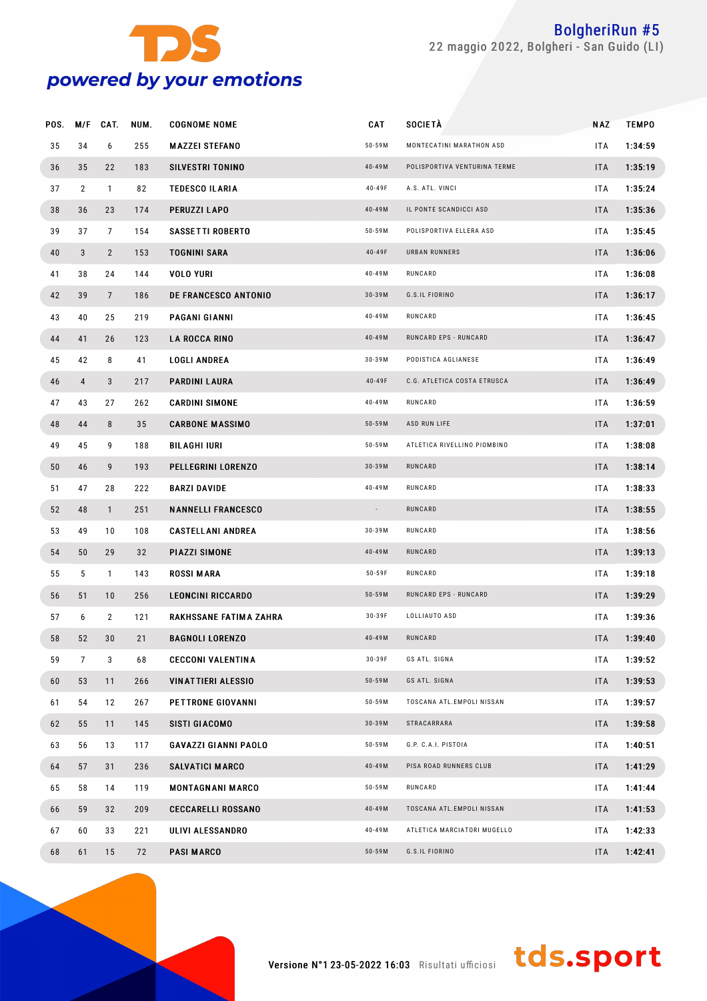

| POS. | M/F            | CAT.           | NUM. | <b>COGNOME NOME</b>         | <b>CAT</b> | <b>SOCIETÀ</b>               | NAZ        | <b>TEMPO</b> |  |
|------|----------------|----------------|------|-----------------------------|------------|------------------------------|------------|--------------|--|
| 35   | 34             | 6              | 255  | <b>MAZZEI STEFANO</b>       | 50-59M     | MONTECATINI MARATHON ASD     | <b>ITA</b> | 1:34:59      |  |
| 36   | 35             | 22             | 183  | <b>SILVESTRI TONINO</b>     | 40-49M     | POLISPORTIVA VENTURINA TERME | <b>ITA</b> | 1:35:19      |  |
| 37   | $\overline{2}$ | $\mathbf{1}$   | 82   | <b>TEDESCO ILARIA</b>       | 40-49F     | A.S. ATL. VINCI              | <b>ITA</b> | 1:35:24      |  |
| 38   | 36             | 23             | 174  | PERUZZI LAPO                | 40-49M     | IL PONTE SCANDICCI ASD       | <b>ITA</b> | 1:35:36      |  |
| 39   | 37             | 7              | 154  | <b>SASSETTI ROBERTO</b>     | 50-59M     | POLISPORTIVA ELLERA ASD      | <b>ITA</b> | 1:35:45      |  |
| 40   | 3              | $\overline{2}$ | 153  | <b>TOGNINI SARA</b>         | 40-49F     | URBAN RUNNERS                | <b>ITA</b> | 1:36:06      |  |
| 41   | 38             | 24             | 144  | <b>VOLO YURI</b>            | 40-49M     | RUNCARD                      | <b>ITA</b> | 1:36:08      |  |
| 42   | 39             | $\overline{7}$ | 186  | <b>DE FRANCESCO ANTONIO</b> | $30 - 39M$ | G.S.IL FIORINO               | <b>ITA</b> | 1:36:17      |  |
| 43   | 40             | 25             | 219  | PAGANI GIANNI               | 40-49M     | RUNCARD                      | <b>ITA</b> | 1:36:45      |  |
| 44   | 41             | 26             | 123  | <b>LA ROCCA RINO</b>        | 40-49M     | RUNCARD EPS - RUNCARD        | <b>ITA</b> | 1:36:47      |  |
| 45   | 42             | 8              | 41   | <b>LOGLI ANDREA</b>         | 30-39M     | PODISTICA AGLIANESE          | ITA        | 1:36:49      |  |
| 46   | $\overline{4}$ | 3              | 217  | PARDINI LAURA               | 40-49F     | C.G. ATLETICA COSTA ETRUSCA  | <b>ITA</b> | 1:36:49      |  |
| 47   | 43             | 27             | 262  | <b>CARDINI SIMONE</b>       | 40-49M     | RUNCARD                      | <b>ITA</b> | 1:36:59      |  |
| 48   | 44             | 8              | 35   | <b>CARBONE MASSIMO</b>      | $50 - 59M$ | ASD RUN LIFE                 | <b>ITA</b> | 1:37:01      |  |
| 49   | 45             | 9              | 188  | BILAGHI IURI                | 50-59M     | ATLETICA RIVELLINO PIOMBINO  | <b>ITA</b> | 1:38:08      |  |
| 50   | 46             | 9              | 193  | PELLEGRINI LORENZO          | $30 - 39M$ | RUNCARD                      | <b>ITA</b> | 1:38:14      |  |
| 51   | 47             | 28             | 222  | <b>BARZI DAVIDE</b>         | 40-49M     | RUNCARD                      | <b>ITA</b> | 1:38:33      |  |
| 52   | 48             | $\mathbf{1}$   | 251  | <b>NANNELLI FRANCESCO</b>   |            | RUNCARD                      | <b>ITA</b> | 1:38:55      |  |
| 53   | 49             | 10             | 108  | <b>CASTELLANI ANDREA</b>    | 30-39M     | RUNCARD                      | ITA        | 1:38:56      |  |
| 54   | 50             | 29             | 32   | PIAZZI SIMONE               | 40-49M     | RUNCARD                      | <b>ITA</b> | 1:39:13      |  |
| 55   | 5              | $\mathbf{1}$   | 143  | <b>ROSSI MARA</b>           | $50 - 59F$ | RUNCARD                      | <b>ITA</b> | 1:39:18      |  |
| 56   | 51             | 10             | 256  | <b>LEONCINI RICCARDO</b>    | $50 - 59M$ | RUNCARD EPS - RUNCARD        | <b>ITA</b> | 1:39:29      |  |
| 57   | 6              | $\overline{2}$ | 121  | RAKHSSANE FATIMA ZAHRA      | 30-39F     | LOLLIAUTO ASD                | ITA        | 1:39:36      |  |
| 58   | 52             | 30             | 21   | <b>BAGNOLI LORENZO</b>      | 40-49M     | RUNCARD                      | <b>ITA</b> | 1:39:40      |  |
| 59   | 7              | 3              | 68   | <b>CECCONI VALENTINA</b>    | $30 - 39F$ | GS ATL. SIGNA                | ITA.       | 1:39:52      |  |
| 60   | 53             | 11             | 266  | <b>VINATTIERI ALESSIO</b>   | $50 - 59M$ | GS ATL. SIGNA                | <b>ITA</b> | 1:39:53      |  |
| 61   | 54             | 12             | 267  | <b>PETTRONE GIOVANNI</b>    | 50-59M     | TOSCANA ATL.EMPOLI NISSAN    | ITA.       | 1:39:57      |  |
| 62   | 55             | 11             | 145  | SISTI GIACOMO               | $30 - 39M$ | STRACARRARA                  | <b>ITA</b> | 1:39:58      |  |
| 63   | 56             | 13             | 117  | <b>GAVAZZI GIANNI PAOLO</b> | 50-59M     | G.P. C.A.I. PISTOIA          | ITA.       | 1:40:51      |  |
| 64   | 57             | 31             | 236  | SALVATICI MARCO             | 40-49M     | PISA ROAD RUNNERS CLUB       | <b>ITA</b> | 1:41:29      |  |
| 65   | 58             | 14             | 119  | <b>MONTAGNANI MARCO</b>     | $50 - 59M$ | RUNCARD                      | ITA.       | 1:41:44      |  |
| 66   | 59             | 32             | 209  | <b>CECCARELLI ROSSANO</b>   | 40-49M     | TOSCANA ATL.EMPOLI NISSAN    | <b>ITA</b> | 1:41:53      |  |
| 67   | 60             | 33             | 221  | ULIVI ALESSANDRO            | 40-49M     | ATLETICA MARCIATORI MUGELLO  | ITA.       | 1:42:33      |  |
| 68   | 61             | 15             | 72   | <b>PASI MARCO</b>           | $50 - 59M$ | G.S.IL FIORINO               | ITA        | 1:42:41      |  |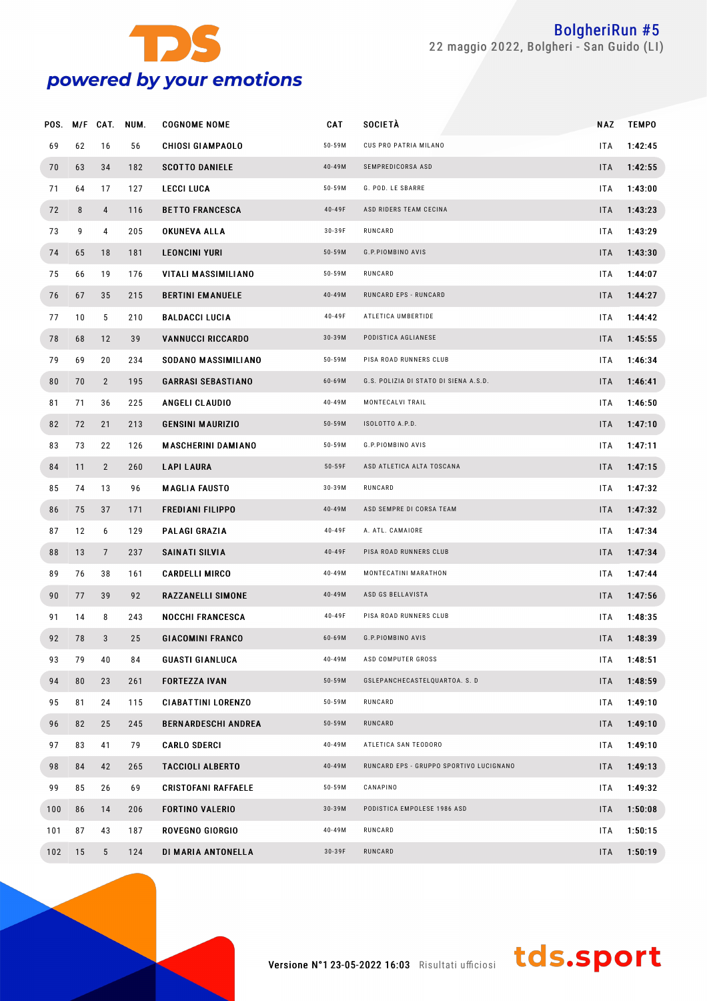

| POS. |    | M/F CAT.        | NUM. | <b>COGNOME NOME</b>        | <b>CAT</b> | <b>SOCIETÀ</b>                          | NAZ        | <b>TEMPO</b> |
|------|----|-----------------|------|----------------------------|------------|-----------------------------------------|------------|--------------|
| 69   | 62 | 16              | 56   | <b>CHIOSI GIAMPAOLO</b>    | $50 - 59M$ | CUS PRO PATRIA MILANO                   | <b>ITA</b> | 1:42:45      |
| 70   | 63 | 34              | 182  | <b>SCOTTO DANIELE</b>      | 40-49M     | SEMPREDICORSA ASD                       | <b>ITA</b> | 1:42:55      |
| 71   | 64 | 17              | 127  | <b>LECCI LUCA</b>          | $50 - 59M$ | G. POD. LE SBARRE                       | <b>ITA</b> | 1:43:00      |
| 72   | 8  | 4               | 116  | <b>BETTO FRANCESCA</b>     | 40-49F     | ASD RIDERS TEAM CECINA                  | <b>ITA</b> | 1:43:23      |
| 73   | 9  | 4               | 205  | <b>OKUNEVA ALLA</b>        | 30-39F     | RUNCARD                                 | <b>ITA</b> | 1:43:29      |
| 74   | 65 | 18              | 181  | <b>LEONCINI YURI</b>       | $50 - 59M$ | G.P.PIOMBINO AVIS                       | <b>ITA</b> | 1:43:30      |
| 75   | 66 | 19              | 176  | VITALI MASSIMILIANO        | $50 - 59M$ | RUNCARD                                 | <b>ITA</b> | 1:44:07      |
| 76   | 67 | 35              | 215  | <b>BERTINI EMANUELE</b>    | 40-49M     | RUNCARD EPS - RUNCARD                   | <b>ITA</b> | 1:44:27      |
| 77   | 10 | 5               | 210  | <b>BALDACCI LUCIA</b>      | 40-49F     | ATLETICA UMBERTIDE                      | <b>ITA</b> | 1:44:42      |
| 78   | 68 | 12              | 39   | <b>VANNUCCI RICCARDO</b>   | $30 - 39M$ | PODISTICA AGLIANESE                     | <b>ITA</b> | 1:45:55      |
| 79   | 69 | 20              | 234  | SODANO MASSIMILIANO        | $50 - 59M$ | PISA ROAD RUNNERS CLUB                  | <b>ITA</b> | 1:46:34      |
| 80   | 70 | $\mathbf{2}$    | 195  | <b>GARRASI SEBASTIANO</b>  | 60-69M     | G.S. POLIZIA DI STATO DI SIENA A.S.D.   | <b>ITA</b> | 1:46:41      |
| 81   | 71 | 36              | 225  | ANGELI CLAUDIO             | 40-49M     | MONTECALVI TRAIL                        | <b>ITA</b> | 1:46:50      |
| 82   | 72 | 21              | 213  | <b>GENSINI MAURIZIO</b>    | $50 - 59M$ | ISOLOTTO A.P.D.                         | <b>ITA</b> | 1:47:10      |
| 83   | 73 | 22              | 126  | <b>MASCHERINI DAMIANO</b>  | $50 - 59M$ | G.P.PIOMBINO AVIS                       | <b>ITA</b> | 1:47:11      |
| 84   | 11 | $\mathbf{2}$    | 260  | <b>LAPI LAURA</b>          | $50 - 59F$ | ASD ATLETICA ALTA TOSCANA               | <b>ITA</b> | 1:47:15      |
| 85   | 74 | 13              | 96   | <b>MAGLIA FAUSTO</b>       | $30 - 39M$ | RUNCARD                                 | <b>ITA</b> | 1:47:32      |
| 86   | 75 | 37              | 171  | <b>FREDIANI FILIPPO</b>    | 40-49M     | ASD SEMPRE DI CORSA TEAM                | <b>ITA</b> | 1:47:32      |
| 87   | 12 | 6               | 129  | PALAGI GRAZIA              | 40-49F     | A. ATL. CAMAIORE                        | <b>ITA</b> | 1:47:34      |
| 88   | 13 | $7\phantom{.0}$ | 237  | SAINATI SILVIA             | 40-49F     | PISA ROAD RUNNERS CLUB                  | <b>ITA</b> | 1:47:34      |
| 89   | 76 | 38              | 161  | <b>CARDELLI MIRCO</b>      | 40-49M     | MONTECATINI MARATHON                    | <b>ITA</b> | 1:47:44      |
| 90   | 77 | 39              | 92   | RAZZANELLI SIMONE          | 40-49M     | ASD GS BELLAVISTA                       | <b>ITA</b> | 1:47:56      |
| 91   | 14 | 8               | 243  | <b>NOCCHI FRANCESCA</b>    | 40-49F     | PISA ROAD RUNNERS CLUB                  | <b>ITA</b> | 1:48:35      |
| 92   | 78 | 3               | 25   | <b>GIACOMINI FRANCO</b>    | 60-69M     | G.P.PIOMBINO AVIS                       | <b>ITA</b> | 1:48:39      |
| 93   | 79 | 40              | 84   | <b>GUASTI GIANLUCA</b>     | 40-49M     | ASD COMPUTER GROSS                      | ITA.       | 1:48:51      |
| 94   | 80 | 23              | 261  | <b>FORTEZZA IVAN</b>       | $50 - 59M$ | GSLEPANCHECASTELQUARTOA. S. D           | <b>ITA</b> | 1:48:59      |
| 95   | 81 | 24              | 115  | <b>CIABATTINI LORENZO</b>  | $50 - 59M$ | RUNCARD                                 | ITA.       | 1:49:10      |
| 96   | 82 | 25              | 245  | <b>BERNARDESCHI ANDREA</b> | $50 - 59M$ | RUNCARD                                 | <b>ITA</b> | 1:49:10      |
| 97   | 83 | 41              | 79   | <b>CARLO SDERCI</b>        | 40-49M     | ATLETICA SAN TEODORO                    | ITA.       | 1:49:10      |
| 98   | 84 | 42              | 265  | <b>TACCIOLI ALBERTO</b>    | 40-49M     | RUNCARD EPS - GRUPPO SPORTIVO LUCIGNANO | <b>ITA</b> | 1:49:13      |
| 99   | 85 | 26              | 69   | <b>CRISTOFANI RAFFAELE</b> | $50 - 59M$ | CANAPINO                                | ITA.       | 1:49:32      |
| 100  | 86 | 14              | 206  | <b>FORTINO VALERIO</b>     | $30 - 39M$ | PODISTICA EMPOLESE 1986 ASD             | <b>ITA</b> | 1:50:08      |
| 101  | 87 | 43              | 187  | ROVEGNO GIORGIO            | 40-49M     | RUNCARD                                 | ITA.       | 1:50:15      |
| 102  | 15 | 5 <sup>5</sup>  | 124  | DI MARIA ANTONELLA         | 30-39F     | RUNCARD                                 | <b>ITA</b> | 1:50:19      |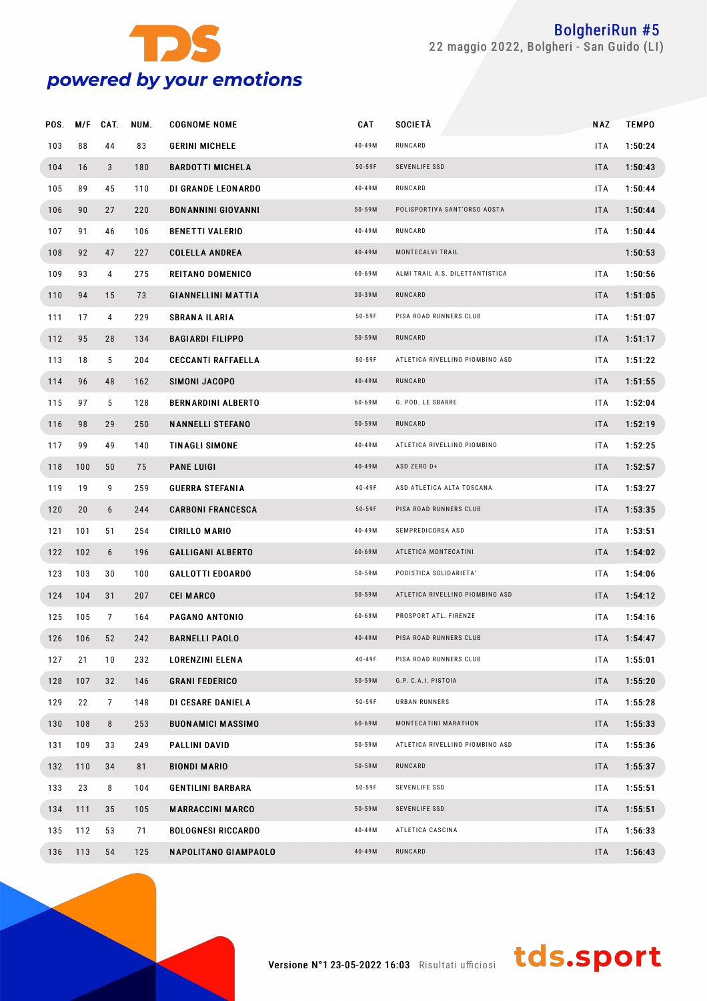

| POS. | M/F | CAT. | NUM. | <b>COGNOME NOME</b>         | CAT        | SOCIETÀ                         | <b>NAZ</b> | <b>TEMPO</b> |  |
|------|-----|------|------|-----------------------------|------------|---------------------------------|------------|--------------|--|
| 103  | 88  | 44   | 83   | <b>GERINI MICHELE</b>       | 40-49M     | RUNCARD                         | <b>ITA</b> | 1:50:24      |  |
| 104  | 16  | 3    | 180  | <b>BARDOTTI MICHELA</b>     | $50 - 59F$ | SEVENLIFE SSD                   | <b>ITA</b> | 1:50:43      |  |
| 105  | 89  | 45   | 110  | DI GRANDE LEONARDO          | 40-49M     | RUNCARD                         | <b>ITA</b> | 1:50:44      |  |
| 106  | 90  | 27   | 220  | <b>BONANNINI GIOVANNI</b>   | 50-59M     | POLISPORTIVA SANT'ORSO AOSTA    | <b>ITA</b> | 1:50:44      |  |
| 107  | 91  | 46   | 106  | <b>BENETTI VALERIO</b>      | 40-49M     | RUNCARD                         | ITA        | 1:50:44      |  |
| 108  | 92  | 47   | 227  | <b>COLELLA ANDREA</b>       | 40-49M     | MONTECALVI TRAIL                |            | 1:50:53      |  |
| 109  | 93  | 4    | 275  | <b>REITANO DOMENICO</b>     | 60-69M     | ALMI TRAIL A.S. DILETTANTISTICA | <b>ITA</b> | 1:50:56      |  |
| 110  | 94  | 15   | 73   | <b>GIANNELLINI MATTIA</b>   | 30-39M     | RUNCARD                         | <b>ITA</b> | 1:51:05      |  |
| 111  | 17  | 4    | 229  | <b>SBRANA ILARIA</b>        | 50-59F     | PISA ROAD RUNNERS CLUB          | <b>ITA</b> | 1:51:07      |  |
| 112  | 95  | 28   | 134  | <b>BAGIARDI FILIPPO</b>     | 50-59M     | RUNCARD                         | <b>ITA</b> | 1:51:17      |  |
| 113  | 18  | 5    | 204  | <b>CECCANTI RAFFAELLA</b>   | 50-59F     | ATLETICA RIVELLINO PIOMBINO ASD | <b>ITA</b> | 1:51:22      |  |
| 114  | 96  | 48   | 162  | SIMONI JACOPO               | 40-49M     | RUNCARD                         | <b>ITA</b> | 1:51:55      |  |
| 115  | 97  | 5    | 128  | <b>BERNARDINI ALBERTO</b>   | 60-69M     | G. POD. LE SBARRE               | <b>ITA</b> | 1:52:04      |  |
| 116  | 98  | 29   | 250  | <b>NANNELLI STEFANO</b>     | 50-59M     | RUNCARD                         | <b>ITA</b> | 1:52:19      |  |
| 117  | 99  | 49   | 140  | <b>TINAGLI SIMONE</b>       | 40-49M     | ATLETICA RIVELLINO PIOMBINO     | <b>ITA</b> | 1:52:25      |  |
| 118  | 100 | 50   | 75   | <b>PANE LUIGI</b>           | 40-49M     | ASD ZERO D+                     | <b>ITA</b> | 1:52:57      |  |
| 119  | 19  | 9    | 259  | <b>GUERRA STEFANIA</b>      | 40-49F     | ASD ATLETICA ALTA TOSCANA       | <b>ITA</b> | 1:53:27      |  |
| 120  | 20  | 6    | 244  | <b>CARBONI FRANCESCA</b>    | $50 - 59F$ | PISA ROAD RUNNERS CLUB          | <b>ITA</b> | 1:53:35      |  |
| 121  | 101 | 51   | 254  | <b>CIRILLO MARIO</b>        | 40-49M     | SEMPREDICORSA ASD               | <b>ITA</b> | 1:53:51      |  |
| 122  | 102 | 6    | 196  | <b>GALLIGANI ALBERTO</b>    | 60-69M     | ATLETICA MONTECATINI            | <b>ITA</b> | 1:54:02      |  |
| 123  | 103 | 30   | 100  | <b>GALLOTTI EDOARDO</b>     | 50-59M     | PODISTICA SOLIDARIETA'          | <b>ITA</b> | 1:54:06      |  |
| 124  | 104 | 31   | 207  | <b>CEI MARCO</b>            | $50 - 59M$ | ATLETICA RIVELLINO PIOMBINO ASD | <b>ITA</b> | 1:54:12      |  |
| 125  | 105 | 7    | 164  | PAGANO ANTONIO              | 60-69M     | PROSPORT ATL. FIRENZE           | <b>ITA</b> | 1:54:16      |  |
| 126  | 106 | 52   | 242  | <b>BARNELLI PAOLO</b>       | 40-49M     | PISA ROAD RUNNERS CLUB          | <b>ITA</b> | 1:54:47      |  |
| 127  | 21  | 10   | 232  | LORENZINI ELENA             | 40-49F     | PISA ROAD RUNNERS CLUB          | ITA        | 1:55:01      |  |
| 128  | 107 | 32   | 146  | <b>GRANI FEDERICO</b>       | $50 - 59M$ | G.P. C.A.I. PISTOIA             | <b>ITA</b> | 1:55:20      |  |
| 129  | 22  | 7    | 148  | DI CESARE DANIELA           | $50 - 59F$ | URBAN RUNNERS                   | ITA.       | 1:55:28      |  |
| 130  | 108 | 8    | 253  | <b>BUONAMICI MASSIMO</b>    | 60-69M     | MONTECATINI MARATHON            | <b>ITA</b> | 1:55:33      |  |
| 131  | 109 | 33   | 249  | <b>PALLINI DAVID</b>        | 50-59M     | ATLETICA RIVELLINO PIOMBINO ASD | ITA.       | 1:55:36      |  |
| 132  | 110 | 34   | 81   | <b>BIONDI MARIO</b>         | $50 - 59M$ | RUNCARD                         | <b>ITA</b> | 1:55:37      |  |
| 133  | 23  | 8    | 104  | <b>GENTILINI BARBARA</b>    | $50 - 59F$ | SEVENLIFE SSD                   | <b>ITA</b> | 1:55:51      |  |
| 134  | 111 | 35   | 105  | <b>MARRACCINI MARCO</b>     | $50 - 59M$ | SEVENLIFE SSD                   | <b>ITA</b> | 1:55:51      |  |
| 135  | 112 | 53   | 71   | <b>BOLOGNESI RICCARDO</b>   | 40-49M     | ATLETICA CASCINA                | ITA.       | 1:56:33      |  |
| 136  | 113 | 54   | 125  | <b>NAPOLITANO GIAMPAOLO</b> | 40-49M     | RUNCARD                         | <b>ITA</b> | 1:56:43      |  |
|      |     |      |      |                             |            |                                 |            |              |  |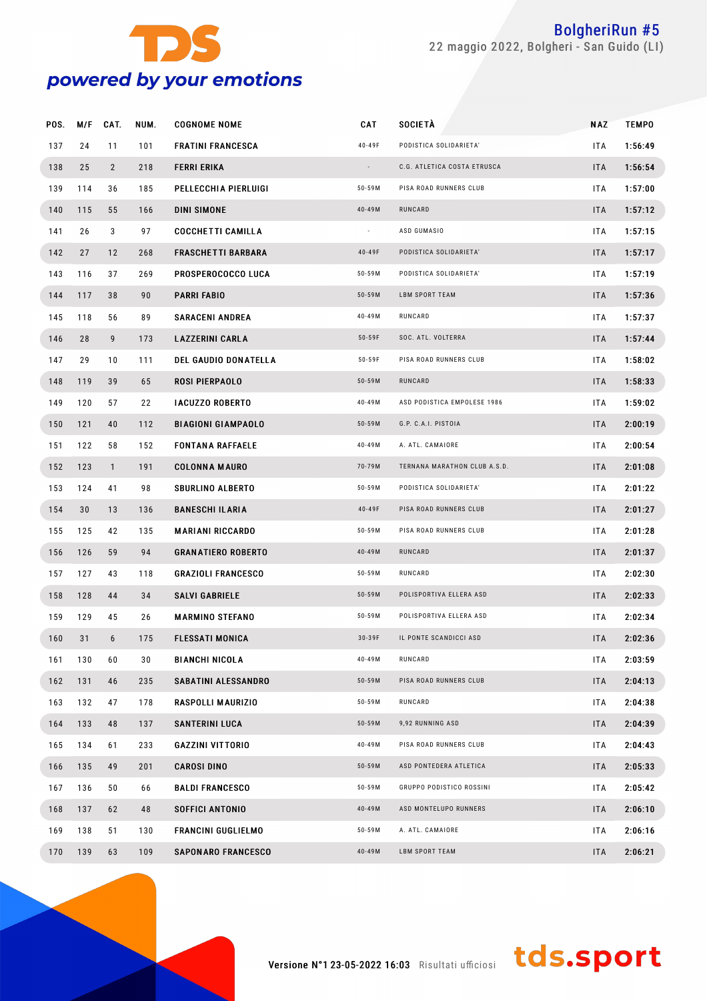

| POS. | M/F | CAT.           | NUM. | <b>COGNOME NOME</b>         | CAT        | <b>SOCIETÀ</b>               | NAZ        | <b>TEMPO</b> |
|------|-----|----------------|------|-----------------------------|------------|------------------------------|------------|--------------|
| 137  | 24  | 11             | 101  | <b>FRATINI FRANCESCA</b>    | 40-49F     | PODISTICA SOLIDARIETA'       | <b>ITA</b> | 1:56:49      |
| 138  | 25  | $\overline{2}$ | 218  | <b>FERRI ERIKA</b>          | $\sim$     | C.G. ATLETICA COSTA ETRUSCA  | <b>ITA</b> | 1:56:54      |
| 139  | 114 | 36             | 185  | PELLECCHIA PIERLUIGI        | $50 - 59M$ | PISA ROAD RUNNERS CLUB       | <b>ITA</b> | 1:57:00      |
| 140  | 115 | 55             | 166  | DINI SIMONE                 | $40 - 49M$ | RUNCARD                      | <b>ITA</b> | 1:57:12      |
| 141  | 26  | 3              | 97   | <b>COCCHETTI CAMILLA</b>    | $\sim$     | ASD GUMASIO                  | <b>ITA</b> | 1:57:15      |
| 142  | 27  | 12             | 268  | <b>FRASCHETTI BARBARA</b>   | 40-49F     | PODISTICA SOLIDARIETA'       | <b>ITA</b> | 1:57:17      |
| 143  | 116 | 37             | 269  | PROSPEROCOCCO LUCA          | $50 - 59M$ | PODISTICA SOLIDARIETA'       | <b>ITA</b> | 1:57:19      |
| 144  | 117 | 38             | 90   | PARRI FABIO                 | $50 - 59M$ | LBM SPORT TEAM               | <b>ITA</b> | 1:57:36      |
| 145  | 118 | 56             | 89   | <b>SARACENI ANDREA</b>      | 40-49M     | RUNCARD                      | <b>ITA</b> | 1:57:37      |
| 146  | 28  | 9              | 173  | <b>LAZZERINI CARLA</b>      | $50 - 59F$ | SOC. ATL. VOLTERRA           | <b>ITA</b> | 1:57:44      |
| 147  | 29  | 10             | 111  | <b>DEL GAUDIO DONATELLA</b> | $50 - 59F$ | PISA ROAD RUNNERS CLUB       | <b>ITA</b> | 1:58:02      |
| 148  | 119 | 39             | 65   | ROSI PIERPAOLO              | $50 - 59M$ | RUNCARD                      | <b>ITA</b> | 1:58:33      |
| 149  | 120 | 57             | 22   | <b>IACUZZO ROBERTO</b>      | 40-49M     | ASD PODISTICA EMPOLESE 1986  | <b>ITA</b> | 1:59:02      |
| 150  | 121 | 40             | 112  | <b>BIAGIONI GIAMPAOLO</b>   | $50 - 59M$ | G.P. C.A.I. PISTOIA          | <b>ITA</b> | 2:00:19      |
| 151  | 122 | 58             | 152  | <b>FONTANA RAFFAELE</b>     | 40-49M     | A. ATL. CAMAIORE             | <b>ITA</b> | 2:00:54      |
| 152  | 123 | $\mathbf{1}$   | 191  | <b>COLONNA MAURO</b>        | 70-79M     | TERNANA MARATHON CLUB A.S.D. | <b>ITA</b> | 2:01:08      |
| 153  | 124 | 41             | 98   | <b>SBURLINO ALBERTO</b>     | $50 - 59M$ | PODISTICA SOLIDARIETA'       | <b>ITA</b> | 2:01:22      |
| 154  | 30  | 13             | 136  | <b>BANESCHI ILARIA</b>      | 40-49F     | PISA ROAD RUNNERS CLUB       | <b>ITA</b> | 2:01:27      |
| 155  | 125 | 42             | 135  | <b>MARIANI RICCARDO</b>     | $50 - 59M$ | PISA ROAD RUNNERS CLUB       | <b>ITA</b> | 2:01:28      |
| 156  | 126 | 59             | 94   | <b>GRANATIERO ROBERTO</b>   | 40-49M     | RUNCARD                      | <b>ITA</b> | 2:01:37      |
| 157  | 127 | 43             | 118  | <b>GRAZIOLI FRANCESCO</b>   | $50 - 59M$ | RUNCARD                      | <b>ITA</b> | 2:02:30      |
| 158  | 128 | 44             | 34   | <b>SALVI GABRIELE</b>       | $50 - 59M$ | POLISPORTIVA ELLERA ASD      | <b>ITA</b> | 2:02:33      |
| 159  | 129 | 45             | 26   | <b>MARMINO STEFANO</b>      | 50-59M     | POLISPORTIVA ELLERA ASD      | <b>ITA</b> | 2:02:34      |
| 160  | 31  | 6              | 175  | <b>FLESSATI MONICA</b>      | 30-39F     | IL PONTE SCANDICCI ASD       | <b>ITA</b> | 2:02:36      |
| 161  | 130 | 60             | 30   | <b>BIANCHI NICOLA</b>       | 40-49M     | RUNCARD                      | <b>ITA</b> | 2:03:59      |
| 162  | 131 | 46             | 235  | SABATINI ALESSANDRO         | $50 - 59M$ | PISA ROAD RUNNERS CLUB       | <b>ITA</b> | 2:04:13      |
| 163  | 132 | 47             | 178  | RASPOLLI MAURIZIO           | $50 - 59M$ | RUNCARD                      | ITA.       | 2:04:38      |
| 164  | 133 | 48             | 137  | <b>SANTERINI LUCA</b>       | $50 - 59M$ | 9,92 RUNNING ASD             | <b>ITA</b> | 2:04:39      |
| 165  | 134 | 61             | 233  | <b>GAZZINI VITTORIO</b>     | 40-49M     | PISA ROAD RUNNERS CLUB       | <b>ITA</b> | 2:04:43      |
| 166  | 135 | 49             | 201  | <b>CAROSI DINO</b>          | $50 - 59M$ | ASD PONTEDERA ATLETICA       | <b>ITA</b> | 2:05:33      |
| 167  | 136 | 50             | 66   | <b>BALDI FRANCESCO</b>      | $50 - 59M$ | GRUPPO PODISTICO ROSSINI     | ITA.       | 2:05:42      |
| 168  | 137 | 62             | 48   | <b>SOFFICI ANTONIO</b>      | $40 - 49M$ | ASD MONTELUPO RUNNERS        | <b>ITA</b> | 2:06:10      |
| 169  | 138 | 51             | 130  | FRANCINI GUGLIELMO          | $50 - 59M$ | A. ATL. CAMAIORE             | <b>ITA</b> | 2:06:16      |
| 170  | 139 | 63             | 109  | <b>SAPONARO FRANCESCO</b>   | 40-49M     | LBM SPORT TEAM               | <b>ITA</b> | 2:06:21      |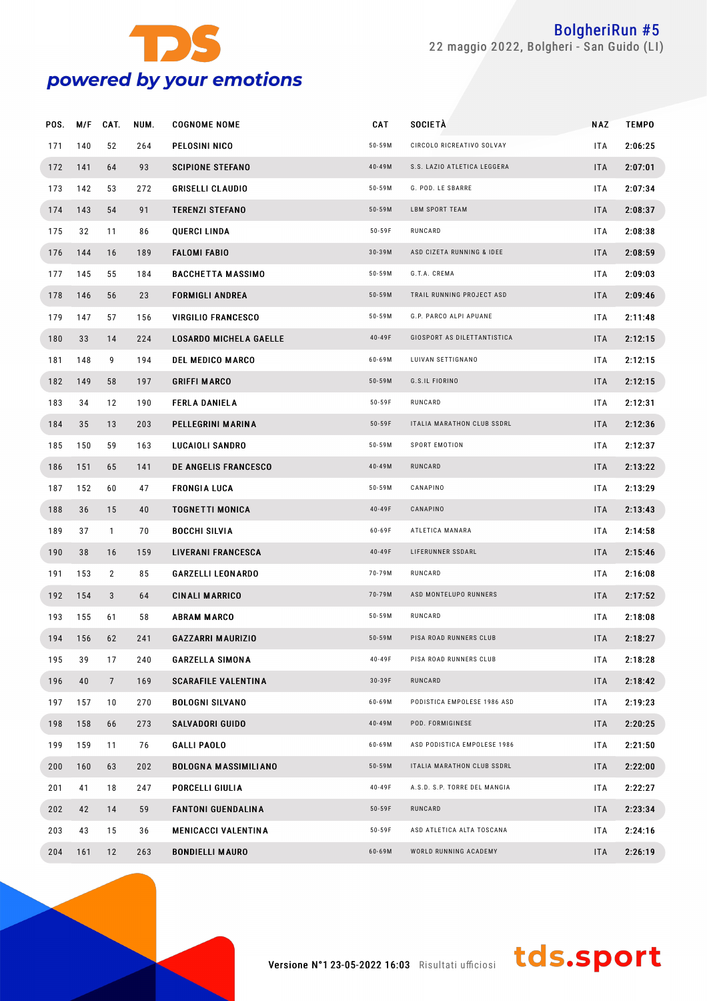

| POS. | M/F | CAT.            | NUM. | <b>COGNOME NOME</b>           | <b>CAT</b> | <b>SOCIETÀ</b>               | NAZ        | <b>TEMPO</b> |
|------|-----|-----------------|------|-------------------------------|------------|------------------------------|------------|--------------|
| 171  | 140 | 52              | 264  | PELOSINI NICO                 | $50 - 59M$ | CIRCOLO RICREATIVO SOLVAY    | ITA.       | 2:06:25      |
| 172  | 141 | 64              | 93   | <b>SCIPIONE STEFANO</b>       | 40-49M     | S.S. LAZIO ATLETICA LEGGERA  | <b>ITA</b> | 2:07:01      |
| 173  | 142 | 53              | 272  | <b>GRISELLI CLAUDIO</b>       | $50 - 59M$ | G. POD. LE SBARRE            | <b>ITA</b> | 2:07:34      |
| 174  | 143 | 54              | 91   | <b>TERENZI STEFANO</b>        | $50 - 59M$ | <b>LBM SPORT TEAM</b>        | <b>ITA</b> | 2:08:37      |
| 175  | 32  | 11              | 86   | QUERCI LINDA                  | 50-59F     | RUNCARD                      | <b>ITA</b> | 2:08:38      |
| 176  | 144 | 16              | 189  | <b>FALOMI FABIO</b>           | $30 - 39M$ | ASD CIZETA RUNNING & IDEE    | <b>ITA</b> | 2:08:59      |
| 177  | 145 | 55              | 184  | <b>BACCHETTA MASSIMO</b>      | $50 - 59M$ | G.T.A. CREMA                 | <b>ITA</b> | 2:09:03      |
| 178  | 146 | 56              | 23   | <b>FORMIGLI ANDREA</b>        | $50 - 59M$ | TRAIL RUNNING PROJECT ASD    | <b>ITA</b> | 2:09:46      |
| 179  | 147 | 57              | 156  | <b>VIRGILIO FRANCESCO</b>     | $50 - 59M$ | G.P. PARCO ALPI APUANE       | <b>ITA</b> | 2:11:48      |
| 180  | 33  | 14              | 224  | <b>LOSARDO MICHELA GAELLE</b> | 40-49F     | GIOSPORT AS DILETTANTISTICA  | <b>ITA</b> | 2:12:15      |
| 181  | 148 | 9               | 194  | <b>DEL MEDICO MARCO</b>       | 60-69M     | LUIVAN SETTIGNANO            | <b>ITA</b> | 2:12:15      |
| 182  | 149 | 58              | 197  | <b>GRIFFI MARCO</b>           | $50 - 59M$ | G.S.IL FIORINO               | <b>ITA</b> | 2:12:15      |
| 183  | 34  | 12              | 190  | <b>FERLA DANIELA</b>          | 50-59F     | RUNCARD                      | <b>ITA</b> | 2:12:31      |
| 184  | 35  | 13              | 203  | PELLEGRINI MARINA             | $50 - 59F$ | ITALIA MARATHON CLUB SSDRL   | <b>ITA</b> | 2:12:36      |
| 185  | 150 | 59              | 163  | LUCAIOLI SANDRO               | $50 - 59M$ | SPORT EMOTION                | <b>ITA</b> | 2:12:37      |
| 186  | 151 | 65              | 141  | DE ANGELIS FRANCESCO          | 40-49M     | RUNCARD                      | <b>ITA</b> | 2:13:22      |
| 187  | 152 | 60              | 47   | <b>FRONGIA LUCA</b>           | $50 - 59M$ | CANAPINO                     | <b>ITA</b> | 2:13:29      |
| 188  | 36  | 15              | 40   | <b>TOGNETTI MONICA</b>        | 40-49F     | CANAPINO                     | <b>ITA</b> | 2:13:43      |
| 189  | 37  | $\mathbf{1}$    | 70   | <b>BOCCHI SILVIA</b>          | 60-69F     | ATLETICA MANARA              | <b>ITA</b> | 2:14:58      |
| 190  | 38  | 16              | 159  | LIVERANI FRANCESCA            | 40-49F     | LIFERUNNER SSDARL            | <b>ITA</b> | 2:15:46      |
| 191  | 153 | $\overline{2}$  | 85   | <b>GARZELLI LEONARDO</b>      | 70-79M     | RUNCARD                      | ITA.       | 2:16:08      |
| 192  | 154 | 3               | 64   | <b>CINALI MARRICO</b>         | 70-79M     | ASD MONTELUPO RUNNERS        | <b>ITA</b> | 2:17:52      |
| 193  | 155 | 61              | 58   | <b>ABRAM MARCO</b>            | $50 - 59M$ | RUNCARD                      | <b>ITA</b> | 2:18:08      |
| 194  | 156 | 62              | 241  | <b>GAZZARRI MAURIZIO</b>      | $50 - 59M$ | PISA ROAD RUNNERS CLUB       | <b>ITA</b> | 2:18:27      |
| 195  | 39  | 17              | 240  | <b>GARZELLA SIMONA</b>        | 40-49F     | PISA ROAD RUNNERS CLUB       | ITA.       | 2:18:28      |
| 196  | 40  | $7\overline{ }$ | 169  | <b>SCARAFILE VALENTINA</b>    | 30-39F     | RUNCARD                      | <b>ITA</b> | 2:18:42      |
| 197  | 157 | 10              | 270  | <b>BOLOGNI SILVANO</b>        | 60-69M     | PODISTICA EMPOLESE 1986 ASD  | ITA.       | 2:19:23      |
| 198  | 158 | 66              | 273  | <b>SALVADORI GUIDO</b>        | 40-49M     | POD. FORMIGINESE             | <b>ITA</b> | 2:20:25      |
| 199  | 159 | 11              | 76   | <b>GALLI PAOLO</b>            | 60-69M     | ASD PODISTICA EMPOLESE 1986  | ITA        | 2:21:50      |
| 200  | 160 | 63              | 202  | <b>BOLOGNA MASSIMILIANO</b>   | $50 - 59M$ | ITALIA MARATHON CLUB SSDRL   | <b>ITA</b> | 2:22:00      |
| 201  | 41  | 18              | 247  | PORCELLI GIULIA               | 40-49F     | A.S.D. S.P. TORRE DEL MANGIA | ITA.       | 2:22:27      |
| 202  | 42  | 14              | 59   | <b>FANTONI GUENDALINA</b>     | $50 - 59F$ | RUNCARD                      | <b>ITA</b> | 2:23:34      |
| 203  | 43  | 15              | 36   | <b>MENICACCI VALENTINA</b>    | $50 - 59F$ | ASD ATLETICA ALTA TOSCANA    | ITA.       | 2:24:16      |
| 204  | 161 | 12              | 263  | <b>BONDIELLI MAURO</b>        | 60-69M     | WORLD RUNNING ACADEMY        | <b>ITA</b> | 2:26:19      |